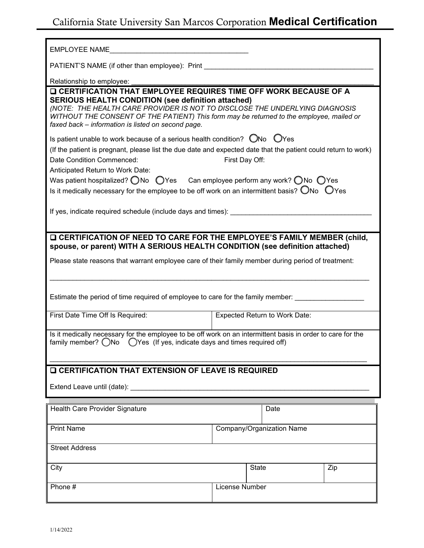## California State University San Marcos Corporation **Medical Certification**

| <b>EMPLOYEE NAME</b>                                                                                                                                                                                                                                                                                                                                                                                                                                                                                                     |                               |       |  |     |
|--------------------------------------------------------------------------------------------------------------------------------------------------------------------------------------------------------------------------------------------------------------------------------------------------------------------------------------------------------------------------------------------------------------------------------------------------------------------------------------------------------------------------|-------------------------------|-------|--|-----|
| PATIENT'S NAME (if other than employee): Print                                                                                                                                                                                                                                                                                                                                                                                                                                                                           |                               |       |  |     |
| Relationship to employee:                                                                                                                                                                                                                                                                                                                                                                                                                                                                                                |                               |       |  |     |
| <b>Q CERTIFICATION THAT EMPLOYEE REQUIRES TIME OFF WORK BECAUSE OF A</b><br><b>SERIOUS HEALTH CONDITION (see definition attached)</b><br>(NOTE: THE HEALTH CARE PROVIDER IS NOT TO DISCLOSE THE UNDERLYING DIAGNOSIS<br>WITHOUT THE CONSENT OF THE PATIENT) This form may be returned to the employee, mailed or<br>faxed back - information is listed on second page.                                                                                                                                                   |                               |       |  |     |
| Is patient unable to work because of a serious health condition? ONo OYes<br>(If the patient is pregnant, please list the due date and expected date that the patient could return to work)<br>Date Condition Commenced:<br>First Day Off:<br>Anticipated Return to Work Date:<br>Was patient hospitalized? $\bigcirc$ No $\bigcirc$ Yes Can employee perform any work? $\bigcirc$ No $\bigcirc$ Yes<br>Is it medically necessary for the employee to be off work on an intermittent basis? $\bigcirc$ No $\bigcirc$ Yes |                               |       |  |     |
| If yes, indicate required schedule (include days and times):                                                                                                                                                                                                                                                                                                                                                                                                                                                             |                               |       |  |     |
| <b>Q CERTIFICATION OF NEED TO CARE FOR THE EMPLOYEE'S FAMILY MEMBER (child,</b><br>spouse, or parent) WITH A SERIOUS HEALTH CONDITION (see definition attached)                                                                                                                                                                                                                                                                                                                                                          |                               |       |  |     |
| Please state reasons that warrant employee care of their family member during period of treatment:                                                                                                                                                                                                                                                                                                                                                                                                                       |                               |       |  |     |
|                                                                                                                                                                                                                                                                                                                                                                                                                                                                                                                          |                               |       |  |     |
| Estimate the period of time required of employee to care for the family member:                                                                                                                                                                                                                                                                                                                                                                                                                                          |                               |       |  |     |
| First Date Time Off Is Required:                                                                                                                                                                                                                                                                                                                                                                                                                                                                                         | Expected Return to Work Date: |       |  |     |
| Is it medically necessary for the employee to be off work on an intermittent basis in order to care for the<br>◯Yes (If yes, indicate days and times required off)<br>family member? ◯No                                                                                                                                                                                                                                                                                                                                 |                               |       |  |     |
| <b>Q CERTIFICATION THAT EXTENSION OF LEAVE IS REQUIRED</b>                                                                                                                                                                                                                                                                                                                                                                                                                                                               |                               |       |  |     |
|                                                                                                                                                                                                                                                                                                                                                                                                                                                                                                                          |                               |       |  |     |
| Health Care Provider Signature                                                                                                                                                                                                                                                                                                                                                                                                                                                                                           |                               | Date  |  |     |
| <b>Print Name</b>                                                                                                                                                                                                                                                                                                                                                                                                                                                                                                        | Company/Organization Name     |       |  |     |
| <b>Street Address</b>                                                                                                                                                                                                                                                                                                                                                                                                                                                                                                    |                               |       |  |     |
| City                                                                                                                                                                                                                                                                                                                                                                                                                                                                                                                     |                               | State |  | Zip |
| Phone #                                                                                                                                                                                                                                                                                                                                                                                                                                                                                                                  | License Number                |       |  |     |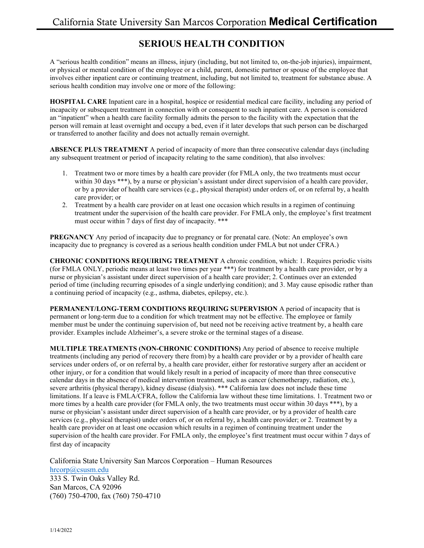## **SERIOUS HEALTH CONDITION**

A "serious health condition" means an illness, injury (including, but not limited to, on-the-job injuries), impairment, or physical or mental condition of the employee or a child, parent, domestic partner or spouse of the employee that involves either inpatient care or continuing treatment, including, but not limited to, treatment for substance abuse. A serious health condition may involve one or more of the following:

**HOSPITAL CARE** Inpatient care in a hospital, hospice or residential medical care facility, including any period of incapacity or subsequent treatment in connection with or consequent to such inpatient care. A person is considered an "inpatient" when a health care facility formally admits the person to the facility with the expectation that the person will remain at least overnight and occupy a bed, even if it later develops that such person can be discharged or transferred to another facility and does not actually remain overnight.

**ABSENCE PLUS TREATMENT** A period of incapacity of more than three consecutive calendar days (including any subsequent treatment or period of incapacity relating to the same condition), that also involves:

- 1. Treatment two or more times by a health care provider (for FMLA only, the two treatments must occur within 30 days \*\*\*), by a nurse or physician's assistant under direct supervision of a health care provider, or by a provider of health care services (e.g., physical therapist) under orders of, or on referral by, a health care provider; or
- 2. Treatment by a health care provider on at least one occasion which results in a regimen of continuing treatment under the supervision of the health care provider. For FMLA only, the employee's first treatment must occur within 7 days of first day of incapacity. \*\*\*

**PREGNANCY** Any period of incapacity due to pregnancy or for prenatal care. (Note: An employee's own incapacity due to pregnancy is covered as a serious health condition under FMLA but not under CFRA.)

**CHRONIC CONDITIONS REQUIRING TREATMENT** A chronic condition, which: 1. Requires periodic visits (for FMLA ONLY, periodic means at least two times per year \*\*\*) for treatment by a health care provider, or by a nurse or physician's assistant under direct supervision of a health care provider; 2. Continues over an extended period of time (including recurring episodes of a single underlying condition); and 3. May cause episodic rather than a continuing period of incapacity (e.g., asthma, diabetes, epilepsy, etc.).

**PERMANENT/LONG-TERM CONDITIONS REQUIRING SUPERVISION** A period of incapacity that is permanent or long-term due to a condition for which treatment may not be effective. The employee or family member must be under the continuing supervision of, but need not be receiving active treatment by, a health care provider. Examples include Alzheimer's, a severe stroke or the terminal stages of a disease.

**MULTIPLE TREATMENTS (NON-CHRONIC CONDITIONS)** Any period of absence to receive multiple treatments (including any period of recovery there from) by a health care provider or by a provider of health care services under orders of, or on referral by, a health care provider, either for restorative surgery after an accident or other injury, or for a condition that would likely result in a period of incapacity of more than three consecutive calendar days in the absence of medical intervention treatment, such as cancer (chemotherapy, radiation, etc.), severe arthritis (physical therapy), kidney disease (dialysis). \*\*\* California law does not include these time limitations. If a leave is FMLA/CFRA, follow the California law without these time limitations. 1. Treatment two or more times by a health care provider (for FMLA only, the two treatments must occur within 30 days \*\*\*), by a nurse or physician's assistant under direct supervision of a health care provider, or by a provider of health care services (e.g., physical therapist) under orders of, or on referral by, a health care provider; or 2. Treatment by a health care provider on at least one occasion which results in a regimen of continuing treatment under the supervision of the health care provider. For FMLA only, the employee's first treatment must occur within 7 days of first day of incapacity

California State University San Marcos Corporation – Human Resources [hrcorp@csusm.edu](mailto:hrcorp@csusm.edu) 333 S. Twin Oaks Valley Rd. San Marcos, CA 92096 (760) 750-4700, fax (760) 750-4710